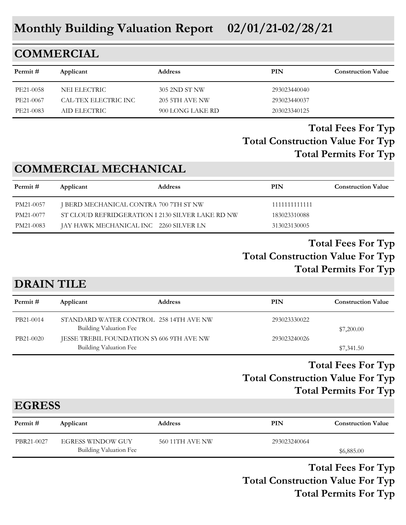# **Monthly Building Valuation Report 02/01/21-02/28/21**

## **COMMERCIAL**

| Permit#   | Applicant            | <b>Address</b>        | PIN          | <b>Construction Value</b> |
|-----------|----------------------|-----------------------|--------------|---------------------------|
| PE21-0058 | NEI ELECTRIC         | 305 2ND ST NW         | 293023440040 |                           |
| PE21-0067 | CAL-TEX ELECTRIC INC | <b>205 5TH AVE NW</b> | 293023440037 |                           |
| PE21-0083 | AID ELECTRIC         | 900 LONG LAKE RD      | 203023340125 |                           |

#### **Total Construction Value For Typ Total Fees For Typ Total Permits For Typ**

## **COMMERCIAL MECHANICAL**

| Permit #  | Applicant                                        | <b>Address</b> | PIN           | <b>Construction Value</b> |
|-----------|--------------------------------------------------|----------------|---------------|---------------------------|
| PM21-0057 | J BERD MECHANICAL CONTRA 700 7TH ST NW           |                | 1111111111111 |                           |
| PM21-0077 | ST CLOUD REFRIDGERATION I 2130 SILVER LAKE RD NW |                | 183023310088  |                           |
| PM21-0083 | JAY HAWK MECHANICAL INC 2260 SILVER LN           |                | 313023130005  |                           |

#### **Total Construction Value For Typ Total Fees For Typ Total Permits For Typ**

#### **DRAIN TILE**

| Permit #  | Applicant                                                           | <b>Address</b> | PIN          | <b>Construction Value</b> |
|-----------|---------------------------------------------------------------------|----------------|--------------|---------------------------|
| PB21-0014 | STANDARD WATER CONTROL 258 14TH AVE NW<br>Building Valuation Fee    |                | 293023330022 | \$7,200.00                |
| PB21-0020 | JESSE TREBIL FOUNDATION SY 606 9TH AVE NW<br>Building Valuation Fee |                | 293023240026 | \$7,341.50                |

#### **Total Construction Value For Typ Total Fees For Typ Total Permits For Typ**

## **EGRESS**

| Permit #   | Applicant                | <b>Address</b>  | PIN          | <b>Construction Value</b> |
|------------|--------------------------|-----------------|--------------|---------------------------|
| PBR21-0027 | <b>EGRESS WINDOW GUY</b> | 560 11TH AVE NW | 293023240064 |                           |
|            | Building Valuation Fee   |                 |              | \$6,885.00                |

**Total Construction Value For Typ Total Fees For Typ Total Permits For Typ**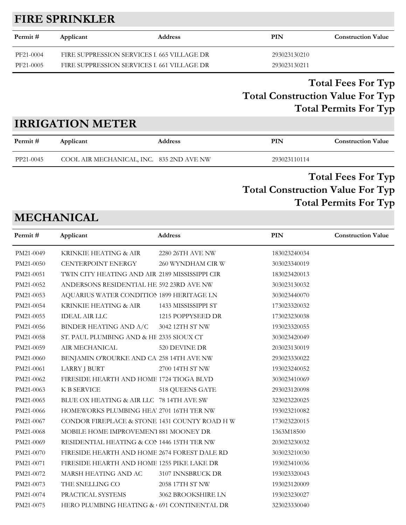## **FIRE SPRINKLER**

| Permit #  | Applicant                                  | <b>Address</b> | PIN          | <b>Construction Value</b> |
|-----------|--------------------------------------------|----------------|--------------|---------------------------|
| PF21-0004 | FIRE SUPPRESSION SERVICES I 665 VILLAGE DR |                | 293023130210 |                           |
| PF21-0005 | FIRE SUPPRESSION SERVICES I 661 VILLAGE DR |                | 293023130211 |                           |

## **Total Construction Value For Typ Total Fees For Typ Total Permits For Typ**

## **IRRIGATION METER**

| Permit #  | Applicant                                | <b>Address</b> | PIN          | <b>Construction Value</b>                                                                  |
|-----------|------------------------------------------|----------------|--------------|--------------------------------------------------------------------------------------------|
| PP21-0045 | COOL AIR MECHANICAL, INC. 835 2ND AVE NW |                | 293023110114 |                                                                                            |
|           |                                          |                |              | $T_{\alpha\alpha}$ $\Gamma_{\alpha\alpha}$ $\Gamma_{\alpha\alpha}$ $\Gamma_{\alpha\alpha}$ |

#### **Total Construction Value For Typ Total Fees For Typ Total Permits For Typ**

# **MECHANICAL**

| Permit#   | Applicant                                      | Address             | <b>PIN</b>   | <b>Construction Value</b> |
|-----------|------------------------------------------------|---------------------|--------------|---------------------------|
| PM21-0049 | KRINKIE HEATING & AIR                          | 2280 26TH AVE NW    | 183023240034 |                           |
| PM21-0050 | CENTERPOINT ENERGY                             | 260 WYNDHAM CIR W   | 303023340019 |                           |
| PM21-0051 | TWIN CITY HEATING AND AIR 2189 MISSISSIPPI CIR |                     | 183023420013 |                           |
| PM21-0052 | ANDERSONS RESIDENTIAL HE 592 23RD AVE NW       |                     | 303023130032 |                           |
| PM21-0053 | AQUARIUS WATER CONDITION 1899 HERITAGE LN      |                     | 303023440070 |                           |
| PM21-0054 | KRINKIE HEATING & AIR                          | 1433 MISSISSIPPI ST | 173023320032 |                           |
| PM21-0055 | <b>IDEAL AIR LLC</b>                           | 1215 POPPYSEED DR   | 173023230038 |                           |
| PM21-0056 | BINDER HEATING AND A/C 3042 12TH ST NW         |                     | 193023320055 |                           |
| PM21-0058 | ST. PAUL PLUMBING AND & HE 2335 SIOUX CT       |                     | 303023420049 |                           |
| PM21-0059 | AIR MECHANICAL                                 | 520 DEVINE DR       | 203023130019 |                           |
| PM21-0060 | BENJAMIN O'ROURKE AND CA 258 14TH AVE NW       |                     | 293023330022 |                           |
| PM21-0061 | LARRY J BURT                                   | 2700 14TH ST NW     | 193023240052 |                           |
| PM21-0062 | FIRESIDE HEARTH AND HOME 1724 TIOGA BLVD       |                     | 303023410069 |                           |
| PM21-0063 | K B SERVICE                                    | 518 QUEENS GATE     | 293023120098 |                           |
| PM21-0065 | BLUE OX HEATING & AIR LLC 78 14TH AVE SW       |                     | 323023220025 |                           |
| PM21-0066 | HOMEWORKS PLUMBING HEA' 2701 16TH TER NW       |                     | 193023210082 |                           |
| PM21-0067 | CONDOR FIREPLACE & STONE 1431 COUNTY ROAD H W  |                     | 173023220015 |                           |
| PM21-0068 | MOBILE HOME IMPROVEMEN'I 881 MOONEY DR         |                     | 1363M18500   |                           |
| PM21-0069 | RESIDENTIAL HEATING & CON 1446 15TH TER NW     |                     | 203023230032 |                           |
| PM21-0070 | FIRESIDE HEARTH AND HOME 2674 FOREST DALE RD   |                     | 303023210030 |                           |
| PM21-0071 | FIRESIDE HEARTH AND HOME 1255 PIKE LAKE DR     |                     | 193023410036 |                           |
| PM21-0072 | MARSH HEATING AND AC                           | 3107 INNSBRUCK DR   | 193023320043 |                           |
| PM21-0073 | THE SNELLING CO                                | 2058 17TH ST NW     | 193023120009 |                           |
| PM21-0074 | PRACTICAL SYSTEMS                              | 3062 BROOKSHIRE LN  | 193023230027 |                           |
| PM21-0075 | HERO PLUMBING HEATING & 691 CONTINENTAL DR     |                     | 323023330040 |                           |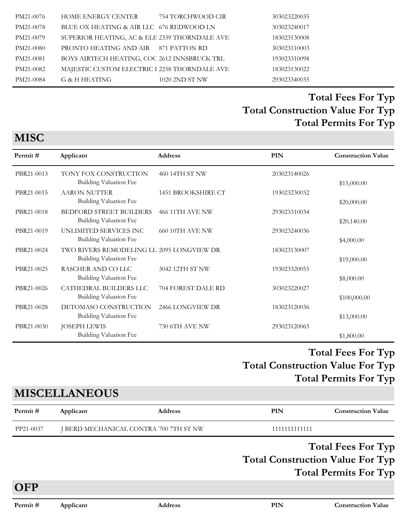| PM21-0076 | HOME ENERGY CENTER                            | 754 TORCHWOOD CIR | 303023220035 |
|-----------|-----------------------------------------------|-------------------|--------------|
| PM21-0078 | BLUE OX HEATING & AIR LLC 676 REDWOOD LN      |                   | 303023240017 |
| PM21-0079 | SUPERIOR HEATING, AC & ELE 2339 THORNDALE AVE |                   | 183023130008 |
| PM21-0080 | PRONTO HEATING AND AIR 871 PATTON RD          |                   | 303023110003 |
| PM21-0081 | BOYS AIRTECH HEATING, COC 2612 INNSBRUCK TRL  |                   | 193023310098 |
| PM21-0082 | MAJESTIC CUSTOM ELECTRIC I 2258 THORNDALE AVE |                   | 183023130022 |
| PM21-0084 | G & H HEATING                                 | 1020 2ND ST NW    | 293023340035 |
|           |                                               |                   |              |

| Permit#    | Applicant                                                                  | <b>Address</b>         | PIN          | <b>Construction Value</b> |
|------------|----------------------------------------------------------------------------|------------------------|--------------|---------------------------|
| PBR21-0013 | TONY FOX CONSTRUCTION<br>Building Valuation Fee                            | 460 14TH ST NW         | 203023140026 | \$15,000.00               |
| PBR21-0015 | <b>AARON NUTTER</b><br>Building Valuation Fee                              | 1451 BROOKSHIRE CT     | 193023230032 | \$20,000.00               |
| PBR21-0018 | <b>BEDFORD STREET BUILDERS</b><br>Building Valuation Fee                   | <b>466 11TH AVE NW</b> | 293023310034 | \$20,140.00               |
| PBR21-0019 | UNLIMITED SERVICES INC<br>Building Valuation Fee                           | <b>660 10TH AVE NW</b> | 293023240036 | \$4,000.00                |
| PBR21-0024 | TWO RIVERS REMODELING LL 2095 LONGVIEW DR<br><b>Building Valuation Fee</b> |                        | 183023130007 | \$19,000.00               |
| PBR21-0025 | RASCHER AND CO LLC<br>Building Valuation Fee                               | 3042 12TH ST NW        | 193023320055 | \$8,000.00                |
| PBR21-0026 | CATHEDRAL BUILDERS LLC<br>Building Valuation Fee                           | 704 FOREST DALE RD     | 303023220027 | \$100,000.00              |
| PBR21-0028 | DETOMASO CONSTRUCTION<br>Building Valuation Fee                            | 2466 LONGVIEW DR       | 183023120036 |                           |
| PBR21-0030 | <b>JOSEPH LEWIS</b><br><b>Building Valuation Fee</b>                       | 730 6TH AVE NW         | 293023120065 | \$13,000.00               |
|            |                                                                            |                        |              | \$1,800.00                |

## **Total Construction Value For Typ Total Fees For Typ Total Permits For Typ**

## **MISCELLANEOUS**

| Permit#   | Applicant | <b>Address</b>                         | <b>PIN</b>                              | <b>Construction Value</b>    |
|-----------|-----------|----------------------------------------|-----------------------------------------|------------------------------|
| PP21-0037 |           | J BERD MECHANICAL CONTRA 700 7TH ST NW | 1111111111111                           |                              |
|           |           |                                        |                                         | <b>Total Fees For Typ</b>    |
|           |           |                                        | <b>Total Construction Value For Typ</b> | <b>Total Permits For Typ</b> |
| OFP       |           |                                        |                                         |                              |

**MISC**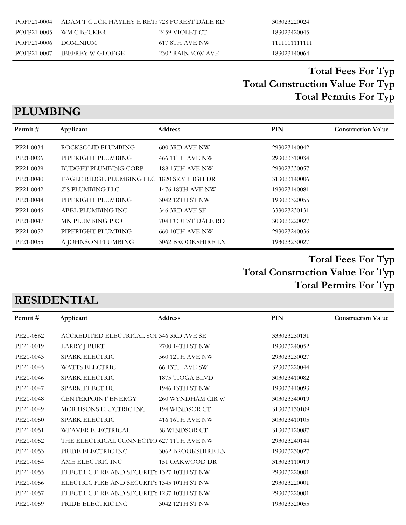|                      | POFP21-0004 ADAM T GUCK HAYLEY E RET. 728 FOREST DALE RD |                  | 303023220024  |
|----------------------|----------------------------------------------------------|------------------|---------------|
|                      | POFP21-0005 WM C BECKER                                  | 2459 VIOLET CT   | 183023420045  |
| POFP21-0006 DOMINIUM |                                                          | 617 8TH AVE NW   | 1111111111111 |
|                      | POFP21-0007 IEFFREY W GLOEGE                             | 2302 RAINBOW AVE | 183023140064  |

# **PLUMBING**

| Permit#   | Applicant                                 | Address                | <b>PIN</b>   | <b>Construction Value</b> |
|-----------|-------------------------------------------|------------------------|--------------|---------------------------|
| PP21-0034 | ROCKSOLID PLUMBING                        | <b>600 3RD AVE NW</b>  | 293023140042 |                           |
| PP21-0036 | PIPERIGHT PLUMBING                        | 466 11TH AVE NW        | 293023310034 |                           |
| PP21-0039 | <b>BUDGET PLUMBING CORP</b>               | <b>188 15TH AVE NW</b> | 293023330057 |                           |
| PP21-0040 | EAGLE RIDGE PLUMBING LLC 1820 SKY HIGH DR |                        | 313023140006 |                           |
| PP21-0042 | Z'S PLUMBING LLC                          | 1476 18TH AVE NW       | 193023140081 |                           |
| PP21-0044 | PIPERIGHT PLUMBING                        | 3042 12TH ST NW        | 193023320055 |                           |
| PP21-0046 | ABEL PLUMBING INC                         | 346 3RD AVE SE         | 333023230131 |                           |
| PP21-0047 | MN PLUMBING PRO                           | 704 FOREST DALE RD     | 303023220027 |                           |
| PP21-0052 | PIPERIGHT PLUMBING                        | <b>660 10TH AVE NW</b> | 293023240036 |                           |
| PP21-0055 | A JOHNSON PLUMBING                        | 3062 BROOKSHIRE LN     | 193023230027 |                           |

## **Total Construction Value For Typ Total Fees For Typ Total Permits For Typ**

## **RESIDENTIAL**

| Permit#   | Applicant                                  | Address                | PIN          | <b>Construction Value</b> |
|-----------|--------------------------------------------|------------------------|--------------|---------------------------|
| PE20-0562 | ACCREDITED ELECTRICAL SOI 346 3RD AVE SE   |                        | 333023230131 |                           |
| PE21-0019 | LARRY J BURT                               | 2700 14TH ST NW        | 193023240052 |                           |
| PE21-0043 | SPARK ELECTRIC                             | <b>560 12TH AVE NW</b> | 293023230027 |                           |
| PE21-0045 | <b>WATTS ELECTRIC</b>                      | 66 13TH AVE SW         | 323023220044 |                           |
| PE21-0046 | <b>SPARK ELECTRIC</b>                      | 1875 TIOGA BLVD        | 303023410082 |                           |
| PE21-0047 | <b>SPARK ELECTRIC</b>                      | 1946 13TH ST NW        | 193023410093 |                           |
| PE21-0048 | CENTERPOINT ENERGY                         | 260 WYNDHAM CIR W      | 303023340019 |                           |
| PE21-0049 | MORRISONS ELECTRIC INC                     | 194 WINDSOR CT         | 313023130109 |                           |
| PE21-0050 | <b>SPARK ELECTRIC</b>                      | 416 16TH AVE NW        | 303023410105 |                           |
| PE21-0051 | WEAVER ELECTRICAL                          | 58 WINDSOR CT          | 313023120087 |                           |
| PE21-0052 | THE ELECTRICAL CONNECTIO 627 11TH AVE NW   |                        | 293023240144 |                           |
| PE21-0053 | PRIDE ELECTRIC INC                         | 3062 BROOKSHIRE LN     | 193023230027 |                           |
| PE21-0054 | AME ELECTRIC INC                           | 151 OAKWOOD DR         | 313023110019 |                           |
| PE21-0055 | ELECTRIC FIRE AND SECURITY 1327 10TH ST NW |                        | 293023220001 |                           |
| PE21-0056 | ELECTRIC FIRE AND SECURITY 1345 10TH ST NW |                        | 293023220001 |                           |
| PE21-0057 | ELECTRIC FIRE AND SECURITY 1237 10TH ST NW |                        | 293023220001 |                           |
| PE21-0059 | PRIDE ELECTRIC INC                         | 3042 12TH ST NW        | 193023320055 |                           |
|           |                                            |                        |              |                           |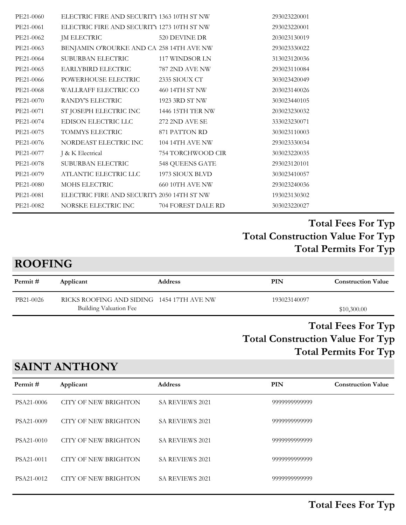| PE21-0060 | ELECTRIC FIRE AND SECURITY 1363 10TH ST NW |                        | 293023220001 |
|-----------|--------------------------------------------|------------------------|--------------|
| PE21-0061 | ELECTRIC FIRE AND SECURITY 1273 10TH ST NW |                        | 293023220001 |
| PE21-0062 | JM ELECTRIC                                | 520 DEVINE DR          | 203023130019 |
| PE21-0063 | BENJAMIN O'ROURKE AND CA 258 14TH AVE NW   |                        | 293023330022 |
| PE21-0064 | SUBURBAN ELECTRIC                          | 117 WINDSOR LN         | 313023120036 |
| PE21-0065 | EARLYBIRD ELECTRIC                         | 787 2ND AVE NW         | 293023110084 |
| PE21-0066 | POWERHOUSE ELECTRIC                        | 2335 SIOUX CT          | 303023420049 |
| PE21-0068 | WALLRAFF ELECTRIC CO                       | 460 14TH ST NW         | 203023140026 |
| PE21-0070 | RANDY'S ELECTRIC                           | 1923 3RD ST NW         | 303023440105 |
| PE21-0071 | ST JOSEPH ELECTRIC INC                     | 1446 15TH TER NW       | 203023230032 |
| PE21-0074 | EDISON ELECTRIC LLC                        | 272 2ND AVE SE         | 333023230071 |
| PE21-0075 | TOMMYS ELECTRIC                            | 871 PATTON RD          | 303023110003 |
| PE21-0076 | NORDEAST ELECTRIC INC                      | 104 14TH AVE NW        | 293023330034 |
| PE21-0077 | J & K Electrical                           | 754 TORCHWOOD CIR      | 303023220035 |
| PE21-0078 | SUBURBAN ELECTRIC                          | 548 QUEENS GATE        | 293023120101 |
| PE21-0079 | ATLANTIC ELECTRIC LLC                      | 1973 SIOUX BLVD        | 303023410057 |
| PE21-0080 | MOHS ELECTRIC                              | <b>660 10TH AVE NW</b> | 293023240036 |
| PE21-0081 | ELECTRIC FIRE AND SECURITY 2050 14TH ST NW |                        | 193023130302 |
| PE21-0082 | NORSKE ELECTRIC INC                        | 704 FOREST DALE RD     | 303023220027 |
|           |                                            |                        |              |

#### **ROOFING**

| Permit #  | Applicant                                                           | <b>Address</b> | PIN          | <b>Construction Value</b> |
|-----------|---------------------------------------------------------------------|----------------|--------------|---------------------------|
| PB21-0026 | RICKS ROOFING AND SIDING 1454 17TH AVE NW<br>Building Valuation Fee |                | 193023140097 | \$10,300.00               |
|           |                                                                     |                |              | <b>Total Fees For Typ</b> |

# **Total Construction Value For Typ Total Permits For Typ**

# **SAINT ANTHONY**

| Permit#    | Applicant            | <b>Address</b>         | PIN           | <b>Construction Value</b> |
|------------|----------------------|------------------------|---------------|---------------------------|
| PSA21-0006 | CITY OF NEW BRIGHTON | <b>SA REVIEWS 2021</b> | 9999999999999 |                           |
| PSA21-0009 | CITY OF NEW BRIGHTON | <b>SA REVIEWS 2021</b> | 9999999999999 |                           |
| PSA21-0010 | CITY OF NEW BRIGHTON | <b>SA REVIEWS 2021</b> | 9999999999999 |                           |
| PSA21-0011 | CITY OF NEW BRIGHTON | <b>SA REVIEWS 2021</b> | 9999999999999 |                           |
| PSA21-0012 | CITY OF NEW BRIGHTON | <b>SA REVIEWS 2021</b> | 9999999999999 |                           |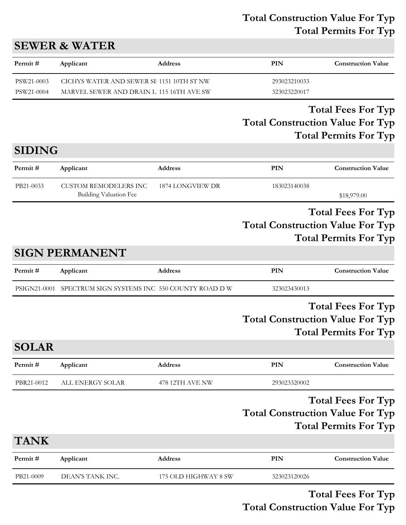#### **Total Construction Value For Typ Total Permits For Typ**

## **SEWER & WATER**

| Permit #   | Applicant | <b>Address</b>                            | PIN          | <b>Construction Value</b> |
|------------|-----------|-------------------------------------------|--------------|---------------------------|
| PSW21-0003 |           | CICHYS WATER AND SEWER SE 1151 10TH ST NW | 293023210033 |                           |
| PSW21-0004 |           | MARVEL SEWER AND DRAIN L'115 16TH AVE SW  | 323023220017 |                           |

#### **Total Construction Value For Typ Total Fees For Typ Total Permits For Typ**

## **SIDING**

| Permit #  | Applicant              | <b>Address</b>   | PIN          | <b>Construction Value</b> |
|-----------|------------------------|------------------|--------------|---------------------------|
| PB21-0033 | CUSTOM REMODELERS INC  | 1874 LONGVIEW DR | 183023140038 |                           |
|           | Building Valuation Fee |                  |              | \$18,979.00               |

#### **Total Construction Value For Typ Total Fees For Typ Total Permits For Typ**

## **SIGN PERMANENT**

| Permit#      | Applicant                                     | <b>Address</b>       | PIN                                     | <b>Construction Value</b>                                 |
|--------------|-----------------------------------------------|----------------------|-----------------------------------------|-----------------------------------------------------------|
| PSIGN21-0001 | SPECTRUM SIGN SYSTEMS INC 550 COUNTY ROAD D W |                      | 323023430013                            |                                                           |
|              |                                               |                      | <b>Total Construction Value For Typ</b> | <b>Total Fees For Typ</b><br><b>Total Permits For Typ</b> |
| <b>SOLAR</b> |                                               |                      |                                         |                                                           |
| Permit#      | Applicant                                     | Address              | PIN                                     | <b>Construction Value</b>                                 |
| PBR21-0012   | ALL ENERGY SOLAR                              | 478 12TH AVE NW      | 293023320002                            |                                                           |
|              |                                               |                      | <b>Total Construction Value For Typ</b> | <b>Total Fees For Typ</b><br><b>Total Permits For Typ</b> |
| <b>TANK</b>  |                                               |                      |                                         |                                                           |
| Permit#      | Applicant                                     | Address              | <b>PIN</b>                              | <b>Construction Value</b>                                 |
| PB21-0009    | DEAN'S TANK INC.                              | 175 OLD HIGHWAY 8 SW | 323023120026                            |                                                           |

#### **Total Construction Value For Typ Total Fees For Typ**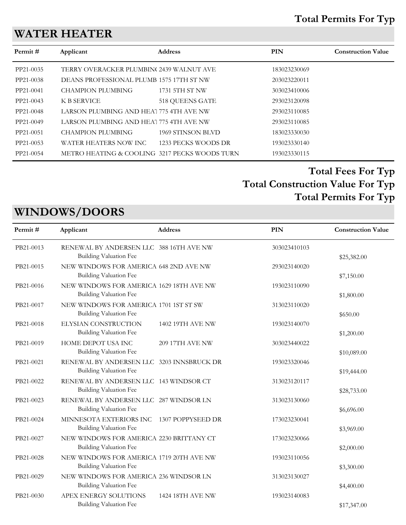#### **Total Permits For Typ**

## **WATER HEATER**

| Permit#   | Applicant                                     | <b>Address</b>       | <b>PIN</b>   | <b>Construction Value</b> |
|-----------|-----------------------------------------------|----------------------|--------------|---------------------------|
| PP21-0035 | TERRY OVERACKER PLUMBIN(2439 WALNUT AVE       |                      | 183023230069 |                           |
| PP21-0038 | DEANS PROFESSIONAL PLUMB 1575 17TH ST NW      |                      | 203023220011 |                           |
| PP21-0041 | <b>CHAMPION PLUMBING</b>                      | 1731 5TH ST NW       | 303023410006 |                           |
| PP21-0043 | K B SERVICE                                   | 518 QUEENS GATE      | 293023120098 |                           |
| PP21-0048 | LARSON PLUMBING AND HEA' 775 4TH AVE NW       |                      | 293023110085 |                           |
| PP21-0049 | LARSON PLUMBING AND HEAT 775 4TH AVE NW       |                      | 293023110085 |                           |
| PP21-0051 | CHAMPION PLUMBING                             | 1969 STINSON BLVD    | 183023330030 |                           |
| PP21-0053 | WATER HEATERS NOW INC                         | -1233 PECKS WOODS DR | 193023330140 |                           |
| PP21-0054 | METRO HEATING & COOLING 3217 PECKS WOODS TURN |                      | 193023330115 |                           |
|           |                                               |                      |              |                           |

## **Total Construction Value For Typ Total Fees For Typ Total Permits For Typ**

## **WINDOWS/DOORS**

| Permit#   | Applicant                                                                 | <b>Address</b>    | <b>PIN</b>   | <b>Construction Value</b> |
|-----------|---------------------------------------------------------------------------|-------------------|--------------|---------------------------|
| PB21-0013 | RENEWAL BY ANDERSEN LLC 388 16TH AVE NW<br>Building Valuation Fee         |                   | 303023410103 | \$25,382.00               |
| PB21-0015 | NEW WINDOWS FOR AMERICA 648 2ND AVE NW<br><b>Building Valuation Fee</b>   |                   | 293023140020 | \$7,150.00                |
| PB21-0016 | NEW WINDOWS FOR AMERICA 1629 18TH AVE NW<br><b>Building Valuation Fee</b> |                   | 193023110090 | \$1,800.00                |
| PB21-0017 | NEW WINDOWS FOR AMERICA 1701 1ST ST SW<br><b>Building Valuation Fee</b>   |                   | 313023110020 | \$650.00                  |
| PB21-0018 | ELYSIAN CONSTRUCTION<br><b>Building Valuation Fee</b>                     | 1402 19TH AVE NW  | 193023140070 | \$1,200.00                |
| PB21-0019 | HOME DEPOT USA INC<br>Building Valuation Fee                              | 209 17TH AVE NW   | 303023440022 | \$10,089.00               |
| PB21-0021 | RENEWAL BY ANDERSEN LLC 3203 INNSBRUCK DR<br>Building Valuation Fee       |                   | 193023320046 | \$19,444.00               |
| PB21-0022 | RENEWAL BY ANDERSEN LLC 143 WINDSOR CT<br>Building Valuation Fee          |                   | 313023120117 | \$28,733.00               |
| PB21-0023 | RENEWAL BY ANDERSEN LLC 287 WINDSOR LN<br>Building Valuation Fee          |                   | 313023130060 | \$6,696.00                |
| PB21-0024 | MINNESOTA EXTERIORS INC<br><b>Building Valuation Fee</b>                  | 1307 POPPYSEED DR | 173023230041 | \$3,969.00                |
| PB21-0027 | NEW WINDOWS FOR AMERICA 2230 BRITTANY CT<br>Building Valuation Fee        |                   | 173023230066 | \$2,000.00                |
| PB21-0028 | NEW WINDOWS FOR AMERICA 1719 20TH AVE NW<br><b>Building Valuation Fee</b> |                   | 193023110056 | \$3,300.00                |
| PB21-0029 | NEW WINDOWS FOR AMERICA 236 WINDSOR LN<br><b>Building Valuation Fee</b>   |                   | 313023130027 | \$4,400.00                |
| PB21-0030 | APEX ENERGY SOLUTIONS<br><b>Building Valuation Fee</b>                    | 1424 18TH AVE NW  | 193023140083 | \$17,347.00               |